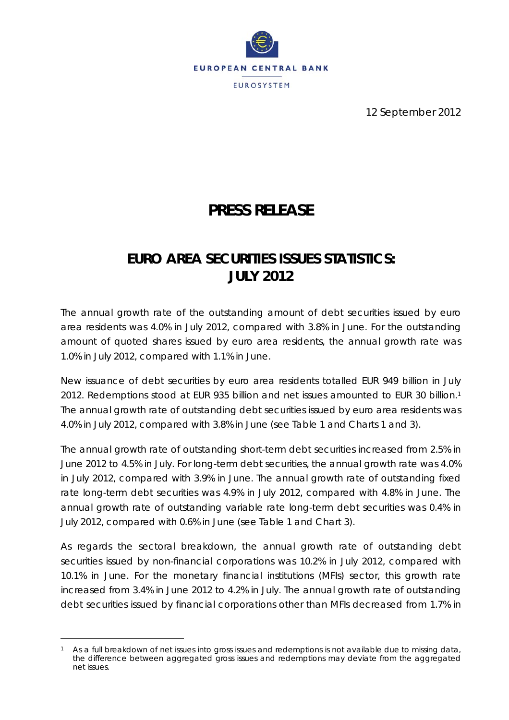

12 September 2012

# **PRESS RELEASE**

## **EURO AREA SECURITIES ISSUES STATISTICS: JULY 2012**

*The annual growth rate of the outstanding amount of debt securities issued by euro area residents was 4.0% in July 2012, compared with 3.8% in June. For the outstanding amount of quoted shares issued by euro area residents, the annual growth rate was 1.0% in July 2012, compared with 1.1% in June.* 

New issuance of debt securities by euro area residents totalled EUR 949 billion in July 2012. Redemptions stood at EUR 935 billion and net issues amounted to EUR 30 billion.1 The annual growth rate of outstanding debt securities issued by euro area residents was 4.0% in July 2012, compared with 3.8% in June (see Table 1 and Charts 1 and 3).

The annual growth rate of outstanding short-term debt securities increased from 2.5% in June 2012 to 4.5% in July. For long-term debt securities, the annual growth rate was 4.0% in July 2012, compared with 3.9% in June. The annual growth rate of outstanding fixed rate long-term debt securities was 4.9% in July 2012, compared with 4.8% in June. The annual growth rate of outstanding variable rate long-term debt securities was 0.4% in July 2012, compared with 0.6% in June (see Table 1 and Chart 3).

As regards the sectoral breakdown, the annual growth rate of outstanding debt securities issued by non-financial corporations was 10.2% in July 2012, compared with 10.1% in June. For the monetary financial institutions (MFIs) sector, this growth rate increased from 3.4% in June 2012 to 4.2% in July. The annual growth rate of outstanding debt securities issued by financial corporations other than MFIs decreased from 1.7% in

l

As a full breakdown of net issues into gross issues and redemptions is not available due to missing data, the difference between aggregated gross issues and redemptions may deviate from the aggregated net issues.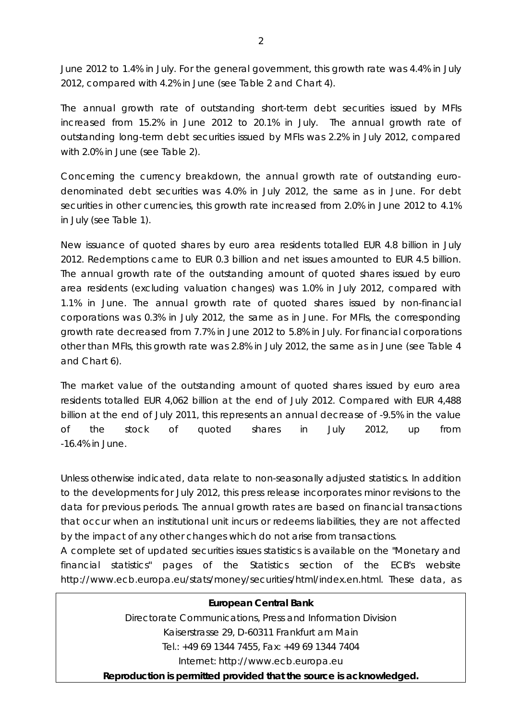June 2012 to 1.4% in July. For the general government, this growth rate was 4.4% in July 2012, compared with 4.2% in June (see Table 2 and Chart 4).

The annual growth rate of outstanding short-term debt securities issued by MFIs increased from 15.2% in June 2012 to 20.1% in July. The annual growth rate of outstanding long-term debt securities issued by MFIs was 2.2% in July 2012, compared with 2.0% in June (see Table 2).

Concerning the currency breakdown, the annual growth rate of outstanding eurodenominated debt securities was 4.0% in July 2012, the same as in June. For debt securities in other currencies, this growth rate increased from 2.0% in June 2012 to 4.1% in July (see Table 1).

New issuance of quoted shares by euro area residents totalled EUR 4.8 billion in July 2012. Redemptions came to EUR 0.3 billion and net issues amounted to EUR 4.5 billion. The annual growth rate of the outstanding amount of quoted shares issued by euro area residents (excluding valuation changes) was 1.0% in July 2012, compared with 1.1% in June. The annual growth rate of quoted shares issued by non-financial corporations was 0.3% in July 2012, the same as in June. For MFIs, the corresponding growth rate decreased from 7.7% in June 2012 to 5.8% in July. For financial corporations other than MFIs, this growth rate was 2.8% in July 2012, the same as in June (see Table 4 and Chart 6).

The market value of the outstanding amount of quoted shares issued by euro area residents totalled EUR 4,062 billion at the end of July 2012. Compared with EUR 4,488 billion at the end of July 2011, this represents an annual decrease of -9.5% in the value of the stock of quoted shares in July 2012, up from -16.4% in June.

*Unless otherwise indicated, data relate to non-seasonally adjusted statistics. In addition to the developments for July 2012, this press release incorporates minor revisions to the data for previous periods. The annual growth rates are based on financial transactions that occur when an institutional unit incurs or redeems liabilities, they are not affected by the impact of any other changes which do not arise from transactions.* 

*A complete set of updated securities issues statistics is available on the "Monetary and*  financial statistics" pages of the Statistics section of the ECB's website *http://www.ecb.europa.eu/stats/money/securities/html/index.en.html. These data, as* 

#### **European Central Bank**

Directorate Communications, Press and Information Division Kaiserstrasse 29, D-60311 Frankfurt am Main Tel.: +49 69 1344 7455, Fax: +49 69 1344 7404 Internet: http://www.ecb.europa.eu

**Reproduction is permitted provided that the source is acknowledged.**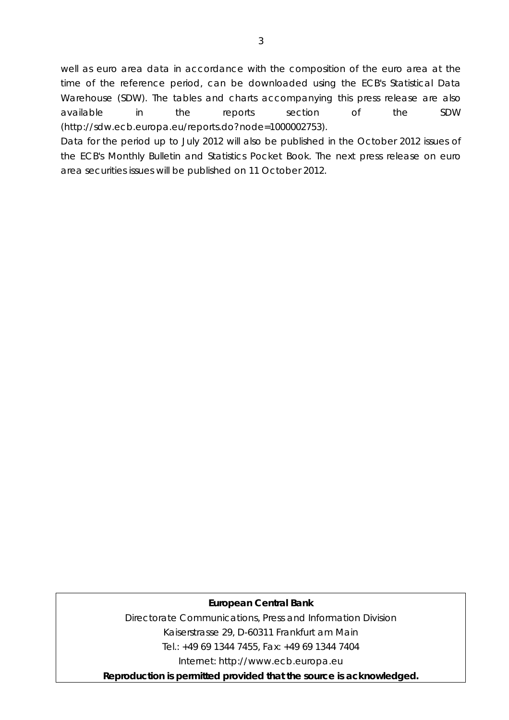*well as euro area data in accordance with the composition of the euro area at the time of the reference period, can be downloaded using the ECB's Statistical Data Warehouse (SDW). The tables and charts accompanying this press release are also available in the reports section of the SDW (http://sdw.ecb.europa.eu/reports.do?node=1000002753).* 

*Data for the period up to July 2012 will also be published in the October 2012 issues of the ECB's Monthly Bulletin and Statistics Pocket Book. The next press release on euro area securities issues will be published on 11 October 2012.* 

### **European Central Bank**

Directorate Communications, Press and Information Division Kaiserstrasse 29, D-60311 Frankfurt am Main Tel.: +49 69 1344 7455, Fax: +49 69 1344 7404 Internet: http://www.ecb.europa.eu

**Reproduction is permitted provided that the source is acknowledged.**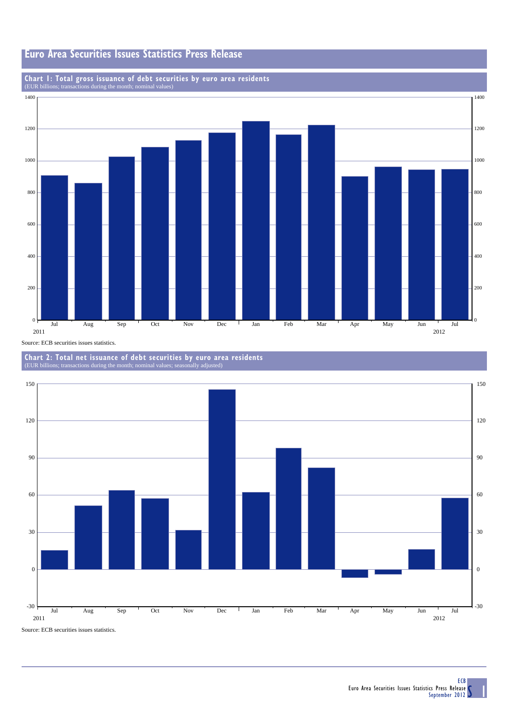

## **Chart 1: Total gross issuance of debt securities by euro area residents** (EUR billions; transactions during the month; nominal values)







Source: ECB securities issues statistics.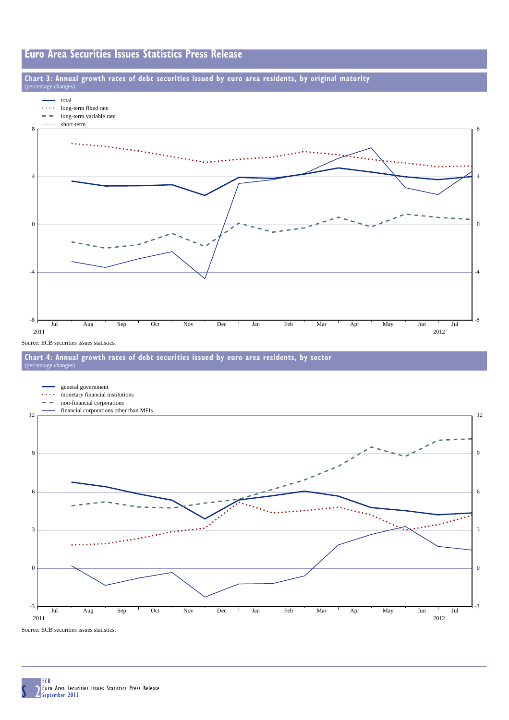### **Euro Area Securities Issues Statistics Press Release**

#### **Chart 3: Annual growth rates of debt securities issued by euro area residents, by original maturity**



Source: ECB securities issues statistics.

e cha





Source: ECB securities issues statistics.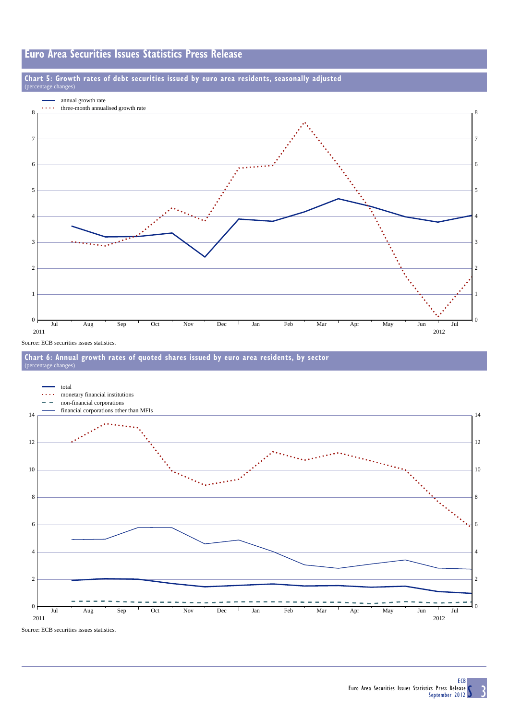### **Euro Area Securities Issues Statistics Press Release**

#### **Chart 5: Growth rates of debt securities issued by euro area residents, seasonally adjusted**  $\circ$ e cha



Source: ECB securities issues statistics.





Source: ECB securities issues statistics.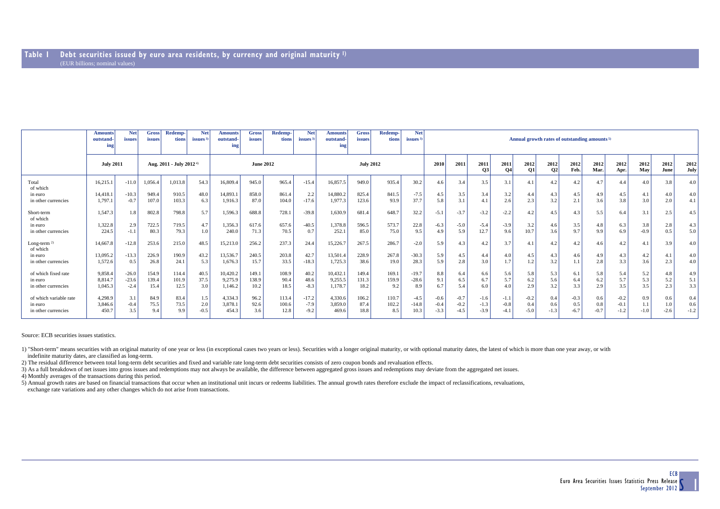|                                                          | <b>Net</b><br>Redemp-<br><b>Net</b><br><b>Net</b><br>Redemp-<br>Redemp-<br><b>Net</b><br><b>Gross</b><br><b>Gross</b><br><b>Gross</b><br><b>Amounts</b><br><b>Amounts</b><br><b>Amounts</b><br>tions<br>outstand-<br>tions<br>outstand-<br>outstand-<br>issues $3$<br>tions<br>issues $3$<br><i>issues</i><br>issues<br>issues <sup>3</sup><br>issues<br>issues<br>ing<br>ing<br>ing |                              |                          |                        |                      |                                |                        |                        |                             |                                | Annual growth rates of outstanding amounts <sup>5)</sup> |                       |                           |                            |                            |                            |                            |                         |                      |                         |                      |                            |                     |                      |                         |
|----------------------------------------------------------|--------------------------------------------------------------------------------------------------------------------------------------------------------------------------------------------------------------------------------------------------------------------------------------------------------------------------------------------------------------------------------------|------------------------------|--------------------------|------------------------|----------------------|--------------------------------|------------------------|------------------------|-----------------------------|--------------------------------|----------------------------------------------------------|-----------------------|---------------------------|----------------------------|----------------------------|----------------------------|----------------------------|-------------------------|----------------------|-------------------------|----------------------|----------------------------|---------------------|----------------------|-------------------------|
|                                                          | <b>July 2011</b>                                                                                                                                                                                                                                                                                                                                                                     |                              | Aug. 2011 - July 2012 4) |                        | <b>June 2012</b>     |                                |                        |                        | <b>July 2012</b>            |                                |                                                          | 2010                  | 2011                      | 2011<br><b>O3</b>          | 2011<br><b>O4</b>          | 2012<br><b>O1</b>          | 2012<br>02                 | 2012<br>Feb.            | 2012<br>Mar.         | 2012<br>Apr.            | 2012<br>May          | 2012<br>June               | 2012<br><b>July</b> |                      |                         |
| Total<br>of which                                        | 16.215.1                                                                                                                                                                                                                                                                                                                                                                             | $-11.0$                      | 1,056.4                  | 1,013.8                | 54.3                 | 16,809.4                       | 945.0                  | 965.4                  | $-15.4$                     | 16,857.5                       | 949.0                                                    | 935.4                 | 30.2                      | 4.6                        | 3.4                        | 3.5                        | 3.1                        | 4.1                     | 4.2                  | 4.2                     | 4.7                  | 4.4                        | 4.0                 | 3.8                  | 4.0 <sub>1</sub>        |
| in euro<br>in other currencies                           | 14,418.1<br>1.797.1                                                                                                                                                                                                                                                                                                                                                                  | $-10.3$<br>$-0.7$            | 949.4<br>107.0           | 910.5<br>103.3         | 48.0<br>6.3          | 14,893.1<br>1,916.3            | 858.0<br>87.0          | 861.4<br>104.0         | 2.2<br>$-17.6$              | 14,880.2<br>1,977.3            | 825.4<br>123.6                                           | 841.5<br>93.9         | $-7.5$<br>37.7            | 4.5<br>5.8                 | 3.5<br>3.1                 | 3.4<br>4.1                 | 3.2<br>2.6                 | 4.4<br>2.3              | 4.3<br>3.2           | 4.5<br>2.1              | 4.9<br>3.6           | 4.5<br>3.8                 | 4.1<br>3.0          | 4.0<br>2.0           | 4.0<br>4.1              |
| Short-term<br>of which                                   | 1,547.3                                                                                                                                                                                                                                                                                                                                                                              | 1.8                          | 802.8                    | 798.8                  | 5.7                  | 1,596.3                        | 688.8                  | 728.1                  | $-39.8$                     | 1.630.9                        | 681.4                                                    | 648.7                 | 32.2                      | $-5.1$                     | $-3.7$                     | $-3.2$                     | $-2.2$                     | 4.2                     | 4.5                  | 4.3                     | 5.5                  | 6.4                        | 3.1                 | 2.5                  | 4.5                     |
| in euro<br>in other currencies                           | 1,322.8<br>224.5                                                                                                                                                                                                                                                                                                                                                                     | 2.9<br>$-1.1$                | 722.5<br>80.3            | 719.5<br>79.3          | 4.7<br>1.0           | 1,356.3<br>240.0               | 617.6<br>71.3          | 657.6<br>70.5          | $-40.5$<br>0.7              | 1,378.8<br>252.1               | 596.5<br>85.0                                            | 573.7<br>75.0         | 22.8<br>9.5               | $-6.3$<br>4.9              | $-5.0$<br>5.9              | $-5.4$<br>12.7             | $-3.9$<br>9.6              | 3.2<br>10.7             | 4.6<br>3.6           | 3.5<br>9.7              | 4.8<br>9.9           | 6.3<br>6.9                 | 3.8<br>$-0.9$       | 2.8<br>0.5           | 4.3<br>5.0              |
| Long-term $2$ )<br>of which                              | 14,667.8                                                                                                                                                                                                                                                                                                                                                                             | $-12.8$                      | 253.6                    | 215.0                  | 48.5                 | 15,213.0                       | 256.2                  | 237.3                  | 24.4                        | 15,226.7                       | 267.5                                                    | 286.7                 | $-2.0$                    | 5.9                        | 4.3                        | 4.2                        | 3.7                        | 4.1                     | 4.2                  | 4.2                     | 4.6                  | 4.2                        | 4.1                 | 3.9                  | 4.0                     |
| in euro<br>in other currencies                           | 13,095.2<br>1,572.6                                                                                                                                                                                                                                                                                                                                                                  | $-13.3$<br>0.5               | 226.9<br>26.8            | 190.9<br>24.1          | 43.2<br>5.3          | 13,536.7<br>1,676.3            | 240.5<br>15.7          | 203.8<br>33.5          | 42.7<br>$-18.3$             | 13,501.4<br>1,725.3            | 228.9<br>38.6                                            | 267.8<br>19.0         | $-30.3$<br>28.3           | 5.9<br>5.9                 | 4.5<br>2.8                 | 4.4<br>3.0                 | 4.0<br>1.7                 | 4.5<br>1.2              | 4.3<br>3.2           | 4.6<br>1.1              | 4.9<br>2.8           | 4.3<br>3.3                 | 4.2<br>3.6          | 4.1<br>2.3           | 4.0 <sub>1</sub><br>4.0 |
| of which fixed rate<br>in euro<br>in other currencies    | 9,858.4<br>8,814.7<br>1,045.3                                                                                                                                                                                                                                                                                                                                                        | $-26.0$<br>$-23.6$<br>$-2.4$ | 154.9<br>139.4<br>15.4   | 114.4<br>101.9<br>12.5 | 40.5<br>37.5<br>3.0  | 10,420.2<br>9,275.9<br>1,146.2 | 149.1<br>138.9<br>10.2 | 108.9<br>90.4<br>18.5  | 40.2<br>48.6<br>$-8.3$      | 10,432.1<br>9,255.5<br>1,178.7 | 149.4<br>131.3<br>18.2                                   | 169.1<br>159.9<br>9.2 | $-19.7$<br>$-28.6$<br>8.9 | 8.8<br>9.1<br>6.7          | 6.4<br>6.5<br>5.4          | 6.6<br>6.7<br>6.0          | 5.6<br>5.7<br>4.0          | 5.8<br>6.2<br>2.9       | 5.3<br>5.6<br>3.2    | 6.1<br>6.4<br>3.3       | 5.8<br>6.2<br>2.9    | 5.4<br>5.7<br>3.5          | 5.2<br>5.3<br>3.5   | 4.8<br>5.2<br>2.3    | 4.9<br>5.1<br>3.3       |
| of which variable rate<br>in euro<br>in other currencies | 4,298.9<br>3,846.6<br>450.7                                                                                                                                                                                                                                                                                                                                                          | 3.1<br>$-0.4$<br>3.5         | 84.9<br>75.5<br>9.4      | 83.4<br>73.5<br>9.9    | 1.5<br>2.0<br>$-0.5$ | 4,334.3<br>3,878.1<br>454.3    | 96.2<br>92.6<br>3.6    | 113.4<br>100.6<br>12.8 | $-17.2$<br>$-7.9$<br>$-9.2$ | 4,330.6<br>3,859.0<br>469.6    | 106.2<br>87.4<br>18.8                                    | 110.7<br>102.2<br>8.5 | $-4.5$<br>$-14.8$<br>10.3 | $-0.6$<br>$-0.4$<br>$-3.3$ | $-0.7$<br>$-0.2$<br>$-4.5$ | $-1.6$<br>$-1.3$<br>$-3.9$ | $-1.1$<br>$-0.8$<br>$-4.1$ | $-0.2$<br>0.4<br>$-5.0$ | 0.4<br>0.6<br>$-1.3$ | $-0.3$<br>0.5<br>$-6.7$ | 0.6<br>0.8<br>$-0.7$ | $-0.2$<br>$-0.1$<br>$-1.2$ | 0.9<br>$-1.0$       | 0.6<br>1.0<br>$-2.6$ | 0.4<br>0.6<br>$-1.2$    |

Source: ECB securities issues statistics.

1) "Short-term" means securities with an original maturity of one year or less (in exceptional cases two years or less). Securities with a longer original maturity, or with optional maturity dates, the latest of which is m indefinite maturity dates, are classified as long-term.

2) The residual difference between total long-term debt securities and fixed and variable rate long-term debt securities consists of zero coupon bonds and revaluation effects.

3) As a full breakdown of net issues into gross issues and redemptions may not always be available, the difference between aggregated gross issues and redemptions may deviate from the aggregated net issues.

4) Monthly averages of the transactions during this period.

5) Annual growth rates are based on financial transactions that occur when an institutional unit incurs or redeems liabilities. The annual growth rates therefore exclude the impact of reclassifications, revaluations, exchange rate variations and any other changes which do not arise from transactions.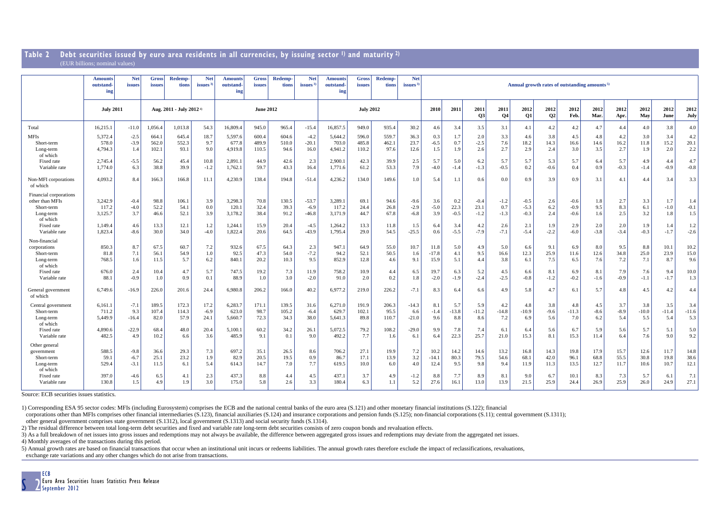#### **Table 2 Debt securities issued by euro area residents in all currencies, by issuing sector 1) and maturity 2)** (EUR billions; nominal values)

|                                                                                                                                                  | <b>Net</b><br><b>Gross</b><br><b>Net</b><br><b>Net</b><br>Redemp-<br><b>Net</b><br><b>Redemp-</b><br><b>Redemp-</b><br><b>Gross</b><br><b>Amounts</b><br><b>Amounts</b><br><b>Gross</b><br><b>Amounts</b><br>Annual growth rates of outstanding amounts <sup>5)</sup><br>outstand<br>tions<br>issues <sup>3</sup><br>outstand<br>tions<br>issues <sup>3</sup><br>outstand-<br>issues<br>tions<br>issues <sup>2</sup><br>issues<br>issues<br>issues<br>ing<br>ing<br>ing |                                                 |                                              |                                              |                                           |                                                           |                                              |                                               |                                                          |                                                            |                                             |                                              |                                                      |                                            |                                               |                                                  |                                                 |                                                    |                                           |                                                    |                                           |                                           |                                           |                                               |                                               |
|--------------------------------------------------------------------------------------------------------------------------------------------------|-------------------------------------------------------------------------------------------------------------------------------------------------------------------------------------------------------------------------------------------------------------------------------------------------------------------------------------------------------------------------------------------------------------------------------------------------------------------------|-------------------------------------------------|----------------------------------------------|----------------------------------------------|-------------------------------------------|-----------------------------------------------------------|----------------------------------------------|-----------------------------------------------|----------------------------------------------------------|------------------------------------------------------------|---------------------------------------------|----------------------------------------------|------------------------------------------------------|--------------------------------------------|-----------------------------------------------|--------------------------------------------------|-------------------------------------------------|----------------------------------------------------|-------------------------------------------|----------------------------------------------------|-------------------------------------------|-------------------------------------------|-------------------------------------------|-----------------------------------------------|-----------------------------------------------|
|                                                                                                                                                  | <b>July 2011</b>                                                                                                                                                                                                                                                                                                                                                                                                                                                        |                                                 | Aug. 2011 - July 2012 <sup>4)</sup>          |                                              |                                           | <b>June 2012</b>                                          |                                              |                                               |                                                          |                                                            |                                             | <b>July 2012</b>                             |                                                      | 2010                                       | 2011                                          | 2011<br>Q <sub>3</sub>                           | 2011<br>Q <sub>4</sub>                          | 2012<br><b>O1</b>                                  | 2012<br>Q <sub>2</sub>                    | 2012<br>Feb.                                       | 2012<br>Mar.                              | 2012<br>Apr.                              | 2012<br>May                               | 2012<br>June                                  | 2012<br>July                                  |
| Total                                                                                                                                            | 16,215.1                                                                                                                                                                                                                                                                                                                                                                                                                                                                | $-11.0$                                         | 1.056.                                       | 1,013.8                                      | 54.3                                      | 16,809.4                                                  | 945.0                                        | 965.4                                         | $-15.4$                                                  | 16,857.5                                                   | 949.0                                       | 935.4                                        | 30.2                                                 | 4.6                                        | 3.4                                           | 3.5                                              | 3.1                                             | 4.1                                                | 4.2                                       | 4.2                                                | 4.7                                       | 4.4                                       | 4.0                                       | 3.8                                           | 4.0                                           |
| <b>MFIs</b><br>Short-term<br>Long-term<br>of which                                                                                               | 5,372.4<br>578.0<br>4,794.3                                                                                                                                                                                                                                                                                                                                                                                                                                             | $-2.5$<br>$-3.9$<br>1.4                         | 664.<br>562.0<br>102.1                       | 645.4<br>552.3<br>93.1                       | 18.7<br>9.7<br>9.0                        | 5,597.6<br>677.8<br>4,919.8                               | 600.4<br>489.9<br>110.5                      | 604.6<br>510.0<br>94.6                        | $-4.2$<br>$-20.1$<br>16.0                                | 5,644.2<br>703.0<br>4,941.2                                | 596.0<br>485.8<br>110.2                     | 559.7<br>462.1<br>97.6                       | 36.3<br>23.7<br>12.6                                 | 0.3<br>$-6.5$<br>1.5                       | 1.7<br>0.7<br>1.9                             | 2.0<br>$-2.5$<br>2.6                             | 3.3<br>7.6<br>2.7                               | 4.6<br>18.2<br>2.9                                 | 3.8<br>14.3<br>2.4                        | 4.5<br>16.6<br>3.0                                 | 4.8<br>14.6<br>3.5                        | 4.2<br>16.2<br>2.7                        | 3.0<br>11.8<br>1.9                        | 3.4<br>15.2<br>$2.0\,$                        | 4.2<br>20.1<br>2.2                            |
| Fixed rate<br>Variable rate                                                                                                                      | 2,745.4<br>1,774.0                                                                                                                                                                                                                                                                                                                                                                                                                                                      | $-5.5$<br>6.3                                   | 56.2<br>38.8                                 | 45.4<br>39.9                                 | 10.8<br>$-1.2$                            | 2,891.<br>1,762.1                                         | 44.9<br>59.7                                 | 42.6<br>43.3                                  | 2.3<br>16.4                                              | 2,900.1<br>1,771.6                                         | 42.3<br>61.2                                | 39.9<br>53.3                                 | 2.5<br>7.9                                           | 5.7<br>$-4.0$                              | 5.0<br>$-1.4$                                 | 6.2<br>$-1.3$                                    | 5.7<br>$-0.5$                                   | 5.7<br>0.2                                         | 5.3<br>$-0.6$                             | 5.7<br>0.4                                         | 6.4<br>0.9                                | 5.7<br>$-0.3$                             | 4.9<br>$-1.4$                             | 4.4<br>$-0.9$                                 | 4.7<br>$-0.8$                                 |
| Non-MFI corporations<br>of which                                                                                                                 | 4.093.2                                                                                                                                                                                                                                                                                                                                                                                                                                                                 | 8.4                                             | 166.3                                        | 166.8                                        | 11.1                                      | 4,230.9                                                   | 138.4                                        | 194.8                                         | $-51.4$                                                  | 4.236.2                                                    | 134.0                                       | 149.6                                        | 1.0                                                  | 5.4                                        | 1.1                                           | 0.6                                              | 0.0                                             | 0.9                                                | 3.9                                       | 0.9                                                | 3.1                                       | 4.1                                       | 4.4                                       | 3.4                                           | 3.3                                           |
| Financial corporations<br>other than MFIs<br>Short-term<br>Long-term<br>of which<br>Fixed rate<br>Variable rate<br>Non-financial<br>corporations | 3,242.9<br>117.2<br>3,125.7<br>1,149.4<br>1,823.4<br>850.3                                                                                                                                                                                                                                                                                                                                                                                                              | $-0.4$<br>$-4.0$<br>3.7<br>4.6<br>$-8.6$<br>8.7 | 98.8<br>52.2<br>46.6<br>13.3<br>30.0<br>67.5 | 106.<br>54.1<br>52.1<br>12.1<br>34.0<br>60.7 | 3.9<br>0.0<br>3.9<br>1.2<br>$-4.0$<br>7.2 | 3,298.3<br>120.1<br>3,178.2<br>1,244.<br>1,822.4<br>932.6 | 70.8<br>32.4<br>38.4<br>15.9<br>20.6<br>67.5 | 130.5<br>39.3<br>91.2<br>20.4<br>64.5<br>64.3 | $-53.7$<br>$-6.9$<br>$-46.8$<br>$-4.5$<br>$-43.9$<br>2.3 | 3,289.1<br>117.2<br>3.171.9<br>1,264.2<br>1,795.4<br>947.1 | 69.<br>24.4<br>44.7<br>13.3<br>29.0<br>64.9 | 94.6<br>26.8<br>67.8<br>11.8<br>54.5<br>55.0 | $-9.6$<br>$-2.9$<br>$-6.8$<br>1.5<br>$-25.5$<br>10.7 | 3.6<br>$-5.0$<br>3.9<br>6.4<br>0.6<br>11.8 | 0.2<br>22.3<br>$-0.5$<br>3.4<br>$-5.5$<br>5.0 | $-0.4$<br>23.1<br>$-1.2$<br>4.2<br>$-7.9$<br>4.9 | $-1.2$<br>0.7<br>$-1.3$<br>2.6<br>$-7.1$<br>5.0 | $-0.5$<br>$-5.3$<br>$-0.3$<br>2.1<br>$-5.4$<br>6.6 | 2.6<br>6.2<br>2.4<br>1.9<br>$-2.2$<br>9.1 | $-0.6$<br>$-0.9$<br>$-0.6$<br>2.9<br>$-6.0$<br>6.9 | 1.8<br>9.5<br>1.6<br>2.0<br>$-3.8$<br>8.0 | 2.7<br>8.3<br>2.5<br>2.0<br>$-3.4$<br>9.5 | 3.3<br>6.1<br>3.2<br>1.9<br>$-0.3$<br>8.8 | 1.7<br>$-1.0$<br>1.8<br>1.4<br>$-1.7$<br>10.1 | 1.4<br>$-0.1$<br>1.5<br>1.2<br>$-2.6$<br>10.2 |
| Short-term<br>Long-term<br>of which                                                                                                              | 81.8<br>768.5                                                                                                                                                                                                                                                                                                                                                                                                                                                           | 7.1<br>1.6                                      | 56.1<br>11.5                                 | 54.9<br>5.7                                  | 1.0<br>6.2                                | 92.5<br>840.1                                             | 47.3<br>20.2                                 | 54.0<br>10.3                                  | $-7.2$<br>9.5                                            | 94.2<br>852.9                                              | 52.1<br>12.8                                | 50.5<br>4.6                                  | 1.6<br>9.1                                           | $-17.8$<br>15.9                            | 4.1<br>5.1                                    | 9.5<br>4.4                                       | 16.6<br>3.8                                     | 12.3<br>6.1                                        | 25.9<br>7.5                               | 11.6<br>6.5                                        | 12.6<br>7.6                               | 34.8<br>7.2                               | 25.0<br>7.1                               | 23.9<br>8.7                                   | 15.0<br>9.6                                   |
| Fixed rate<br>Variable rate                                                                                                                      | 676.0<br>88.1                                                                                                                                                                                                                                                                                                                                                                                                                                                           | 2.4<br>$-0.9$                                   | 10.4<br>1.0                                  | 4.7<br>0.9                                   | 5.7<br>0.1                                | 747.5<br>88.9                                             | 19.2<br>1.0                                  | 7.3<br>3.0                                    | 11.9<br>$-2.0$                                           | 758.2<br>91.0                                              | 10.9<br>2.0                                 | 4.4<br>0.2                                   | 6.5<br>1.8                                           | 19.7<br>$-2.0$                             | 6.3<br>$-1.9$                                 | 5.2<br>$-2.4$                                    | 4.5<br>$-2.5$                                   | 6.6<br>$-0.8$                                      | 8.1<br>$-1.2$                             | 6.9<br>$-0.2$                                      | 8.1<br>$-1.6$                             | 7.9<br>$-0.9$                             | 7.6<br>$-1.1$                             | 9.4<br>$-1.7$                                 | 10.0<br>1.3                                   |
| General government<br>of which                                                                                                                   | 6,749.6                                                                                                                                                                                                                                                                                                                                                                                                                                                                 | $-16.9$                                         | 226.0                                        | 201.6                                        | 24.4                                      | 6,980.8                                                   | 206.2                                        | 166.0                                         | 40.2                                                     | 6,977.2                                                    | 219.0                                       | 226.2                                        | $-7.1$                                               | 8.3                                        | 6.4                                           | 6.6                                              | 4.9                                             | 5.8                                                | 4.7                                       | 6.1                                                | 5.7                                       | 4.8                                       | 4.5                                       | 4.2                                           | 4.4                                           |
| Central government<br>Short-term<br>Long-term<br>of which                                                                                        | 6,161.1<br>711.2<br>5,449.9                                                                                                                                                                                                                                                                                                                                                                                                                                             | $-7.1$<br>9.3<br>$-16.4$                        | 189.5<br>107.4<br>82.0                       | 172.3<br>114.3<br>57.9                       | 17.2<br>$-6.9$<br>24.1                    | 6,283.7<br>623.0<br>5,660.7                               | 171.1<br>98.7<br>72.3                        | 139.5<br>105.2<br>34.3                        | 31.6<br>$-6.4$<br>38.0                                   | 6,271.0<br>629.7<br>5,641.3                                | 191.9<br>102.1<br>89.8                      | 206.3<br>95.5<br>110.7                       | $-14.3$<br>6.6<br>$-21.0$                            | 8.1<br>$-1.4$<br>9.6                       | 5.7<br>$-13.8$<br>8.8                         | 5.9<br>$-11.2$<br>8.6                            | 4.2<br>$-14.8$<br>7.2                           | 4.8<br>$-10.9$<br>6.9                              | 3.8<br>$-9.6$<br>5.6                      | 4.8<br>$-11.3$<br>7.0                              | 4.5<br>$-8.6$<br>6.2                      | 3.7<br>$-8.9$<br>5.4                      | 3.8<br>$-10.0$<br>5.5                     | 3.5<br>$-11.4$<br>5.4                         | 3.4<br>$-11.6$<br>5.3                         |
| Fixed rate<br>Variable rate                                                                                                                      | 4,890.6<br>482.5                                                                                                                                                                                                                                                                                                                                                                                                                                                        | $-22.9$<br>4.9                                  | 68.4<br>10.2                                 | 48.0<br>6.6                                  | 20.4<br>3.6                               | 5,100.1<br>485.9                                          | 60.2<br>9.1                                  | 34.2<br>0.1                                   | 26.1<br>9.0                                              | 5,072.5<br>492.2                                           | 79.2<br>7.7                                 | 108.2<br>1.6                                 | $-29.0$<br>6.1                                       | 9.9<br>6.4                                 | 7.8<br>22.3                                   | 7.4<br>25.7                                      | 6.1<br>21.0                                     | 6.4<br>15.3                                        | 5.6<br>8.1                                | 6.7<br>15.3                                        | 5.9<br>11.4                               | 5.6<br>6.4                                | 5.7<br>7.6                                | 5.1<br>9.0                                    | 5.0<br>9.2                                    |
| Other general<br>government<br>Short-term<br>Long-term<br>of which                                                                               | 588.5<br>59.1<br>529.4                                                                                                                                                                                                                                                                                                                                                                                                                                                  | $-9.8$<br>$-6.7$<br>$-3.1$                      | 36.6<br>25.1<br>11.5                         | 29.3<br>23.2<br>6.1                          | 7.3<br>1.9<br>5.4                         | 697.2<br>82.9<br>614.3                                    | 35.1<br>20.5<br>14.7                         | 26.5<br>19.5<br>7.0                           | 8.6<br>0.9<br>7.7                                        | 706.2<br>86.7<br>619.5                                     | 27.1<br>17.1<br>10.0                        | 19.9<br>13.9<br>6.0                          | 7.2<br>3.2<br>4.0                                    | 10.2<br>$-14.1$<br>12.4                    | 14.2<br>80.3<br>9.5                           | 14.6<br>79.5<br>9.8                              | 13.2<br>54.6<br>9.4                             | 16.8<br>68.1<br>11.9                               | 14.3<br>42.0<br>11.3                      | 19.8<br>96.1<br>13.5                               | 17.9<br>68.8<br>12.7                      | 15.7<br>55.5<br>11.7                      | 12.6<br>30.8<br>10.6                      | 11.7<br>19.8<br>10.7                          | 14.8<br>38.6<br>12.1                          |
| Fixed rate<br>Variable rate                                                                                                                      | 397.0<br>130.8                                                                                                                                                                                                                                                                                                                                                                                                                                                          | $-4.6$<br>1.5                                   | 6.5<br>4.9                                   | 4.1<br>1.9                                   | 2.3<br>3.0                                | 437.3<br>175.0                                            | 8.8<br>5.8                                   | 4.4<br>2.6                                    | 4.5<br>3.3                                               | 437.1<br>180.4                                             | 3.7<br>6.3                                  | 4.9<br>1.1                                   | $-1.2$<br>5.2                                        | 8.8<br>27.6                                | 7.7<br>16.1                                   | 8.9<br>13.0                                      | 8.1<br>13.9                                     | 9.0<br>21.5                                        | 6.7<br>25.9                               | 10.1<br>24.4                                       | 8.3<br>26.9                               | 7.3<br>25.9                               | 5.7<br>26.0                               | 6.1<br>24.9                                   | 7.1<br>27.1                                   |

Source: ECB securities issues statistics.

1) Corresponding ESA 95 sector codes: MFIs (including Eurosystem) comprises the ECB and the national central banks of the euro area (S.121) and other monetary financial institutions (S.122); financial

corporations other than MFIs comprises other financial intermediaries (S.123), financial auxiliaries (S.124) and insurance corporations and pension funds (S.125); non-financial corporations (S.11); central government (S.13 other general government comprises state government (S.1312), local government (S.1313) and social security funds (S.1314).

2) The residual difference between total long-term debt securities and fixed and variable rate long-term debt securities consists of zero coupon bonds and revaluation effects.

3) As a full breakdown of net issues into gross issues and redemptions may not always be available, the difference between aggregated gross issues and redemptions may deviate from the aggregated net issues.

4) Monthly averages of the transactions during this period.

5) Annual growth rates are based on financial transactions that occur when an institutional unit incurs or redeems liabilities. The annual growth rates therefore exclude the impact of reclassifications, revaluations,

exchange rate variations and any other changes which do not arise from transactions.

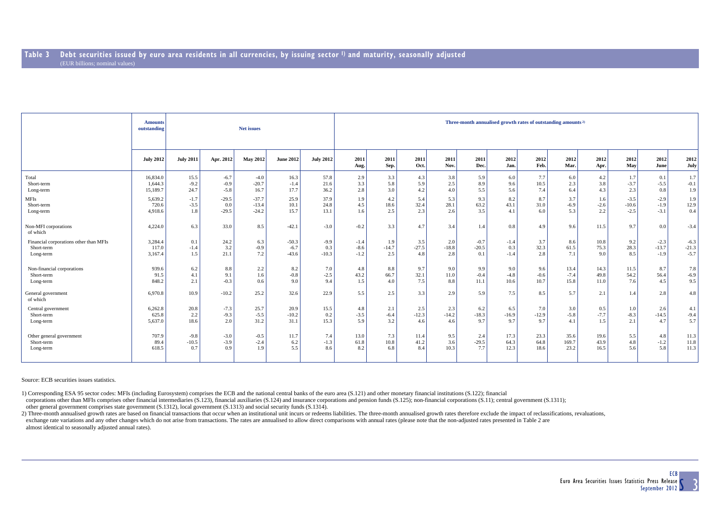|                                        | <b>Amounts</b><br>outstanding |                  |           | <b>Net issues</b> |                  |                  | Three-month annualised growth rates of outstanding amounts <sup>2)</sup> |              |              |              |              |              |              |              |              |             |              |              |  |  |
|----------------------------------------|-------------------------------|------------------|-----------|-------------------|------------------|------------------|--------------------------------------------------------------------------|--------------|--------------|--------------|--------------|--------------|--------------|--------------|--------------|-------------|--------------|--------------|--|--|
|                                        | <b>July 2012</b>              | <b>July 2011</b> | Apr. 2012 | <b>May 2012</b>   | <b>June 2012</b> | <b>July 2012</b> | 2011<br>Aug.                                                             | 2011<br>Sep. | 2011<br>Oct. | 2011<br>Nov. | 2011<br>Dec. | 2012<br>Jan. | 2012<br>Feb. | 2012<br>Mar. | 2012<br>Apr. | 2012<br>May | 2012<br>June | 2012<br>July |  |  |
| Total                                  | 16,834.0                      | 15.5             | $-6.7$    | $-4.0$            | 16.3             | 57.8             | 2.9                                                                      | 3.3          | 4.3          | 3.8          | 5.9          | 6.0          | 7.7          | 6.0          | 4.2          | 1.7         | 0.1          | 1.7          |  |  |
| Short-term                             | 1.644.3                       | $-9.2$           | $-0.9$    | $-20.7$           | $-1.4$           | 21.6             | 3.3                                                                      | 5.8          | 5.9          | 2.5          | 8.9          | 9.6          | 10.5         | 2.3          | 3.8          | $-3.7$      | $-5.5$       | $-0.1$       |  |  |
| Long-term                              | 15,189.7                      | 24.7             | $-5.8$    | 16.7              | 17.7             | 36.2             | 2.8                                                                      | 3.0          | 4.2          | 4.0          | 5.5          | 5.6          | 7.4          | 6.4          | 4.3          | 2.3         | 0.8          | 1.9          |  |  |
| <b>MFIs</b>                            | 5,639.2                       | $-1.7$           | $-29.5$   | $-37.7$           | 25.9             | 37.9             | 1.9                                                                      | 4.2          | 5.4          | 5.3          | 9.3          | 8.2          | 8.7          | 3.7          | 1.6          | $-3.5$      | $-2.9$       | 1.9          |  |  |
| Short-term                             | 720.6                         | $-3.5$           | 0.0       | $-13.4$           | 10.1             | 24.8             | 4.5                                                                      | 18.6         | 32.4         | 28.1         | 63.2         | 43.1         | 31.0         | $-6.9$       | $-2.6$       | $-10.6$     | $-1.9$       | 12.9         |  |  |
| Long-term                              | 4,918.6                       | 1.8              | $-29.5$   | $-24.2$           | 15.7             | 13.1             | 1.6                                                                      | 2.5          | 2.3          | 2.6          | 3.5          | 4.1          | 6.0          | 5.3          | 2.2          | $-2.5$      | $-3.1$       | 0.4          |  |  |
| Non-MFI corporations<br>of which       | 4,224.0                       | 6.3              | 33.0      | 8.5               | $-42.1$          | $-3.0$           | $-0.2$                                                                   | 3.3          | 4.7          | 3.4          | 1.4          | 0.8          | 4.9          | 9.6          | 11.5         | 9.7         | 0.0          | $-3.4$       |  |  |
| Financial corporations other than MFIs | 3,284.4                       | 0.1              | 24.2      | 6.3               | $-50.3$          | $-9.9$           | $-1.4$                                                                   | 1.9          | 3.5          | 2.0          | $-0.7$       | $-1.4$       | 3.7          | 8.6          | 10.8         | 9.2         | $-2.3$       | $-6.3$       |  |  |
| Short-term                             | 117.0                         | $-1.4$           | 3.2       | $-0.9$            | $-6.7$           | 0.3              | $-8.6$                                                                   | $-14.7$      | $-27.5$      | $-18.8$      | $-20.5$      | 0.3          | 32.3         | 61.5         | 75.3         | 28.3        | $-13.7$      | $-21.3$      |  |  |
| Long-term                              | 3,167.4                       | 1.5              | 21.1      | 7.2               | $-43.6$          | $-10.3$          | $-1.2$                                                                   | 2.5          | 4.8          | 2.8          | 0.1          | $-1.4$       | 2.8          | 7.1          | 9.0          | 8.5         | $-1.9$       | $-5.7$       |  |  |
| Non-financial corporations             | 939.6                         | 6.2              | 8.8       | 2.2               | 8.2              | 7.0              | 4.8                                                                      | 8.8          | 9.7          | 9.0          | 9.9          | 9.0          | 9.6          | 13.4         | 14.3         | 11.5        | 8.7          | 7.8          |  |  |
| Short-term                             | 91.5                          | 4.1              | 9.1       | 1.6               | $-0.8$           | $-2.5$           | 43.2                                                                     | 66.7         | 32.1         | 11.0         | $-0.4$       | $-4.8$       | $-0.6$       | $-7.4$       | 49.8         | 54.2        | 56.4         | $-6.9$       |  |  |
| Long-term                              | 848.2                         | 2.1              | $-0.3$    | 0.6               | 9.0              | 9.4              | 1.5                                                                      | 4.0          | 7.5          | 8.8          | 11.1         | 10.6         | 10.7         | 15.8         | 11.0         | 7.6         | 4.5          | 9.5          |  |  |
| General government<br>of which         | 6,970.8                       | 10.9             | $-10.2$   | 25.2              | 32.6             | 22.9             | 5.5                                                                      | 2.5          | 3.3          | 2.9          | 5.9          | 7.5          | 8.5          | 5.7          | 2.1          | 1.4         | 2.8          | 4.8          |  |  |
| Central government                     | 6,262.8                       | 20.8             | $-7.3$    | 25.7              | 20.9             | 15.5             | 4.8                                                                      | 2.1          | 2.5          | 2.3          | 6.2          | 6.5          | 7.0          | 3.0          | 0.5          | 1.0         | 2.6          | 4.1          |  |  |
| Short-term                             | 625.8                         | 2.2              | $-9.3$    | $-5.5$            | $-10.2$          | 0.2              | $-3.5$                                                                   | $-6.4$       | $-12.3$      | $-14.2$      | $-18.3$      | $-16.9$      | $-12.9$      | $-5.8$       | $-7.7$       | $-8.3$      | $-14.5$      | $-9.4$       |  |  |
| Long-term                              | 5,637.0                       | 18.6             | 2.0       | 31.2              | 31.1             | 15.3             | 5.9                                                                      | 3.2          | 4.6          | 4.6          | 9.7          | 9.7          | 9.7          | 4.1          | 1.5          | 2.1         | 4.7          | 5.7          |  |  |
| Other general government               | 707.9                         | $-9.8$           | $-3.0$    | $-0.5$            | 11.7             | 7.4              | 13.0                                                                     | 7.3          | 11.4         | 9.5          | 2.4          | 17.3         | 23.3         | 35.6         | 19.6         | 5.5         | 4.8          | 11.3         |  |  |
| Short-term                             | 89.4                          | $-10.5$          | $-3.9$    | $-2.4$            | 6.2              | $-1.3$           | 61.8                                                                     | 10.8         | 41.2         | 3.6          | $-29.5$      | 64.3         | 64.8         | 169.7        | 43.9         | 4.8         | $-1.2$       | 11.8         |  |  |
| Long-term                              | 618.5                         | 0.7              | 0.9       | 1.9               | 5.5              | 8.6              | 8.2                                                                      | 6.8          | 8.4          | 10.3         | 7.7          | 12.3         | 18.6         | 23.2         | 16.5         | 5.6         | 5.8          | 11.3         |  |  |

Source: ECB securities issues statistics.

1) Corresponding ESA 95 sector codes: MFIs (including Eurosystem) comprises the ECB and the national central banks of the euro area (S.121) and other monetary financial institutions (S.122); financial

corporations other than MFIs comprises other financial intermediaries (S.123), financial auxiliaries (S.124) and insurance corporations and pension funds (S.125); non-financial corporations (S.11); central government (S.13 other general government comprises state government (S.1312), local government (S.1313) and social security funds (S.1314).

2) Three-month annualised growth rates are based on financial transactions that occur when an institutional unit incurs or redeems liabilities. The three-month annualised growth rates therefore exclude the impact of reclas exchange rate variations and any other changes which do not arise from transactions. The rates are annualised to allow direct comparisons with annual rates (please note that the non-adjusted rates presented in Table 2 are almost identical to seasonally adjusted annual rates).